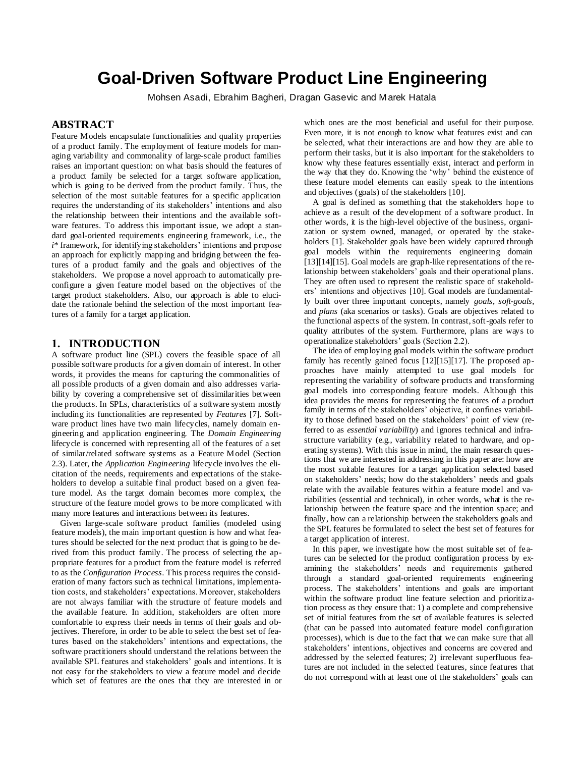# **Goal-Driven Software Product Line Engineering**

Mohsen Asadi, Ebrahim Bagheri, Dragan Gasevic and M arek Hatala

## **ABSTRACT**

Feature Models encapsulate functionalities and quality properties of a product family. The employment of feature models for managing variability and commonality of large-scale product families raises an important question: on what basis should the features of a product family be selected for a target software application, which is going to be derived from the product family. Thus, the selection of the most suitable features for a specific application requires the understanding of its stakeholders' intentions and also the relationship between their intentions and the available software features. To address this important issue, we adopt a standard goal-oriented requirements engineering framework, i.e., the *i\** framework, for identifying stakeholders' intentions and propose an approach for explicitly mapping and bridging between the features of a product family and the goals and objectives of the stakeholders. We propose a novel approach to automatically preconfigure a given feature model based on the objectives of the target product stakeholders. Also, our approach is able to elucidate the rationale behind the selection of the most important features of a family for a target application.

#### **1. INTRODUCTION**

A software product line (SPL) covers the feasible space of all possible software products for a given domain of interest. In other words, it provides the means for capturing the commonalities of all possible products of a given domain and also addresses variability by covering a comprehensive set of dissimilarities between the products. In SPLs, characteristics of a software system mostly including its functionalities are represented by *Features* [7]. Software product lines have two main lifecycles, namely domain engineering and application engineering. The *Domain Engineering* lifecycle is concerned with representing all of the features of a set of similar/related software systems as a Feature Model (Section 2.3). Later, the *Application Engineering* lifecycle involves the elicitation of the needs, requirements and expectations of the stakeholders to develop a suitable final product based on a given feature model. As the target domain becomes more complex, the structure of the feature model grows to be more complicated with many more features and interactions between its features.

Given large-scale software product families (modeled using feature models), the main important question is how and what features should be selected for the next product that is going to be derived from this product family. The process of selecting the appropriate features for a product from the feature model is referred to as the *Configuration Process*. This process requires the consideration of many factors such as technical limitations, implementation costs, and stakeholders' expectations. Moreover, stakeholders are not always familiar with the structure of feature models and the available feature. In addition, stakeholders are often more comfortable to express their needs in terms of their goals and objectives. Therefore, in order to be able to select the best set of features based on the stakeholders' intentions and expectations, the software practitioners should understand the relations between the available SPL features and stakeholders' goals and intentions. It is not easy for the stakeholders to view a feature model and decide which set of features are the ones that they are interested in or which ones are the most beneficial and useful for their purpose. Even more, it is not enough to know what features exist and can be selected, what their interactions are and how they are able to perform their tasks, but it is also important for the stakeholders to know why these features essentially exist, interact and perform in the way that they do. Knowing the 'why' behind the existence of these feature model elements can easily speak to the intentions and objectives (goals) of the stakeholders [10].

A goal is defined as something that the stakeholders hope to achieve as a result of the development of a software product. In other words, it is the high-level objective of the business, organization or system owned, managed, or operated by the stakeholders [1]. Stakeholder goals have been widely captured through goal models within the requirements engineering domain [13][14][15]. Goal models are graph-like representations of the relationship between stakeholders' goals and their operational plans. They are often used to represent the realistic space of stakeholders' intentions and objectives [10]. Goal models are fundamentally built over three important concepts, namely *goals*, *soft-goals*, and *plans* (aka scenarios or tasks). Goals are objectives related to the functional aspects of the system. In contrast, soft-goals refer to quality attributes of the system. Furthermore, plans are ways to operationalize stakeholders' goals (Section 2.2).

The idea of employing goal models within the software product family has recently gained focus [12][15][17]. The proposed approaches have mainly attempted to use goal models for representing the variability of software products and transforming goal models into corresponding feature models. Although this idea provides the means for representing the features of a product family in terms of the stakeholders' objective, it confines variability to those defined based on the stakeholders' point of view (referred to as *essential variability*) and ignores technical and infrastructure variability (e.g., variability related to hardware, and operating systems). With this issue in mind, the main research questions that we are interested in addressing in this paper are: how are the most suitable features for a target application selected based on stakeholders' needs; how do the stakeholders' needs and goals relate with the available features within a feature model and variabilities (essential and technical), in other words, what is the relationship between the feature space and the intention space; and finally, how can a relationship between the stakeholders goals and the SPL features be formulated to select the best set of features for a target application of interest.

In this paper, we investigate how the most suitable set of fe atures can be selected for the product configuration process by examining the stakeholders' needs and requirements gathered through a standard goal-oriented requirements engineering process. The stakeholders' intentions and goals are important within the software product line feature selection and prioritization process as they ensure that: 1) a complete and comprehensive set of initial features from the set of available features is selected (that can be passed into automated feature model configuration processes), which is due to the fact that we can make sure that all stakeholders' intentions, objectives and concerns are covered and addressed by the selected features; 2) irrelevant superfluous features are not included in the selected features, since features that do not correspond with at least one of the stakeholders' goals can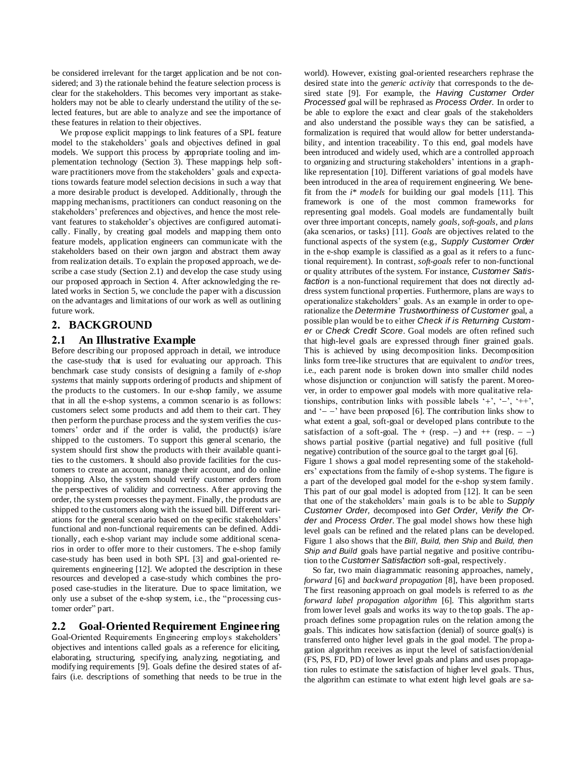be considered irrelevant for the target application and be not considered; and 3) the rationale behind the feature selection process is clear for the stakeholders. This becomes very important as stakeholders may not be able to clearly understand the utility of the selected features, but are able to analyze and see the importance of these features in relation to their objectives.

We propose explicit mappings to link features of a SPL feature model to the stakeholders' goals and objectives defined in goal models. We support this process by appropriate tooling and implementation technology (Section 3). These mappings help software practitioners move from the stakeholders' goals and expectations towards feature model selection decisions in such a way that a more desirable product is developed. Additionally, through the mapping mechanisms, practitioners can conduct reasoning on the stakeholders' preferences and objectives, and hence the most relevant features to stakeholder's objectives are configured automatically. Finally, by creating goal models and mapping them onto feature models, application engineers can communicate with the stakeholders based on their own jargon and abstract them away from realization details. To explain the proposed approach, we describe a case study (Section 2.1) and develop the case study using our proposed approach in Section 4. After acknowledging the related works in Section 5, we conclude the paper with a discussion on the advantages and limitations of our work as well as outlining future work.

# **2. BACKGROUND**

# **2.1 An Illustrative Example**

Before describing our proposed approach in detail, we introduce the case-study that is used for evaluating our approach. This benchmark case study consists of designing a family of *e-shop systems* that mainly supports ordering of products and shipment of the products to the customers. In our e-shop family, we assume that in all the e-shop systems, a common scenario is as follows: customers select some products and add them to their cart. They then perform the purchase process and the system verifies the customers' order and if the order is valid, the product(s) is/are shipped to the customers. To support this general scenario, the system should first show the products with their available quantities to the customers. It should also provide facilities for the customers to create an account, manage their account, and do online shopping. Also, the system should verify customer orders from the perspectives of validity and correctness. After approving the order, the system processes the payment. Finally, the products are shipped to the customers along with the issued bill. Different variations for the general scenario based on the specific stakeholders' functional and non-functional requirements can be defined. Additionally, each e-shop variant may include some additional scenarios in order to offer more to their customers. The e-shop family case-study has been used in both SPL [3] and goal-oriented requirements engineering [12]. We adopted the description in these resources and developed a case-study which combines the proposed case-studies in the literature. Due to space limitation, we only use a subset of the e-shop system, i.e., the "processing customer order" part.

# **2.2 Goal-Oriented Requirement Engineering**

Goal-Oriented Requirements Engineering employs stakeholders' objectives and intentions called goals as a reference for eliciting, elaborating, structuring, specifying, analyzing, negotiating, and modifying requirements [9]. Goals define the desired states of affairs (i.e. descriptions of something that needs to be true in the world). However, existing goal-oriented researchers rephrase the desired state into the *generic activity* that corresponds to the desired state [9]. For example, the *Having Customer Order Processed* goal will be rephrased as *Process Order.* In order to be able to explore the exact and clear goals of the stakeholders and also understand the possible ways they can be satisfied, a formalization is required that would allow for better understandability, and intention traceability. To this end, goal models have been introduced and widely used, which are a controlled approach to organizing and structuring stakeholders' intentions in a graphlike representation [10]. Different variations of goal models have been introduced in the area of requirement engineering. We benefit from the *i\* models* for building our goal models [11]. This framework is one of the most common frameworks for representing goal models. Goal models are fundamentally built over three important concepts, namely *goals, soft-goals*, and *plans* (aka scenarios, or tasks) [11]. *Goals* are objectives related to the functional aspects of the system (e.g., *Supply Customer Order* in the e-shop example is classified as a goal as it refers to a functional requirement). In contrast, *soft-goals* refer to non-functional or quality attributes of the system. For instance, *Customer Satisfaction* is a non-functional requirement that does not directly address system functional properties. Furthermore, plans are ways to operationalize stakeholders' goals. As an example in order to operationalize the *Determine Trustworthiness of Customer* goal, a possible plan would be to either *Check if is Returning Customer* or *Check Credit Score*. Goal models are often refined such that high-level goals are expressed through finer grained goals. This is achieved by using decomposition links. Decomposition links form tree-like structures that are equivalent to *and/or* trees, i.e., each parent node is broken down into smaller child nodes whose disjunction or conjunction will satisfy the parent. Moreover, in order to empower goal models with more qualitative relationships, contribution links with possible labels  $'$ +',  $'$ -',  $'$ ++', and  $\dot{\ }$  -  $\dot{\ }$  have been proposed [6]. The contribution links show to what extent a goal, soft-goal or developed plans contribute to the satisfaction of a soft-goal. The + (resp.  $-)$  and  $+$  (resp.  $-$ ) shows partial positive (partial negative) and full positive (full negative) contribution of the source goal to the target goal [6]. Figure 1 shows a goal model representing some of the stakeholders' expectations from the family of e-shop systems. The figure is a part of the developed goal model for the e-shop system family. This part of our goal model is adopted from [12]. It can be seen that one of the stakeholders' main goals is to be able to *Supply Customer Order,* decomposed into *Get Order*, *Verify the Order* and *Process Order*. The goal model shows how these high level goals can be refined and the related plans can be developed. Figure 1 also shows that the *Bill, Build, then Ship* and *Build, then Ship and Build* goals have partial negative and positive contribution to the *Customer Satisfaction* soft-goal, respectively.

So far, two main diagrammatic reasoning approaches, namely, *forward* [6] and *backward propagation* [8], have been proposed. The first reasoning approach on goal models is referred to as *the forward label propagation algorithm* [6]. This algorithm starts from lower level goals and works its way to the top goals. The approach defines some propagation rules on the relation among the goals. This indicates how satisfaction (denial) of source goal(s) is transferred onto higher level goals in the goal model. The prop agation algorithm receives as input the level of satisfaction/denial (FS, PS, FD, PD) of lower level goals and plans and uses propagation rules to estimate the satisfaction of higher level goals. Thus, the algorithm can estimate to what extent high level goals are sa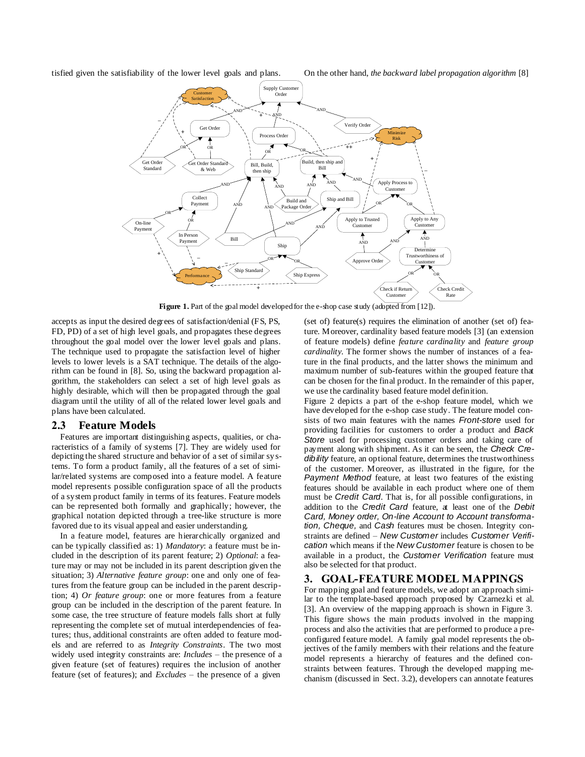tisfied given the satisfiability of the lower level goals and plans. On the other hand, *the backward label propagation algorithm* [8]



**Figure 1.** Part of the goal model developed for the e-shop case study (adopted from [12]).

accepts as input the desired degrees of satisfaction/denial (FS, PS, FD, PD) of a set of high level goals, and propagates these degrees throughout the goal model over the lower level goals and plans. The technique used to propagate the satisfaction level of higher levels to lower levels is a SAT technique. The details of the algorithm can be found in [8]. So, using the backward propagation algorithm, the stakeholders can select a set of high level goals as highly desirable, which will then be propagated through the goal diagram until the utility of all of the related lower level goals and plans have been calculated.

#### **2.3 Feature Models**

Features are important distinguishing aspects, qualities, or characteristics of a family of systems [7]. They are widely used for depicting the shared structure and behavior of a set of similar sy stems. To form a product family, all the features of a set of similar/related systems are composed into a feature model. A feature model represents possible configuration space of all the products of a system product family in terms of its features. Feature models can be represented both formally and graphically; however, the graphical notation depicted through a tree-like structure is more favored due to its visual appeal and easier understanding.

In a feature model, features are hierarchically organized and can be typically classified as: 1) *Mandatory*: a feature must be included in the description of its parent feature; 2) *Optional*: a feature may or may not be included in its parent description given the situation; 3) *Alternative feature group*: one and only one of features from the feature group can be included in the parent description; 4) *Or feature group*: one or more features from a feature group can be included in the description of the parent feature. In some case, the tree structure of feature models falls short at fully representing the complete set of mutual interdependencies of features; thus, additional constraints are often added to feature models and are referred to as *Integrity Constraints*. The two most widely used integrity constraints are: *Includes* – the presence of a given feature (set of features) requires the inclusion of another feature (set of features); and *Excludes* – the presence of a given

(set of) feature(s) requires the elimination of another (set of) feature. Moreover, cardinality based feature models [3] (an extension of feature models) define *feature cardinality* and *feature group cardinality*. The former shows the number of instances of a feature in the final products, and the latter shows the minimum and maximum number of sub-features within the grouped feature that can be chosen for the final product. In the remainder of this paper, we use the cardinality based feature model definition.

Figure 2 depicts a part of the e-shop feature model, which we have developed for the e-shop case study. The feature model consists of two main features with the names *Front-store* used for providing facilities for customers to order a product and *Back Store* used for processing customer orders and taking care of payment along with shipment. As it can be seen, the *Check Credibility* feature, an optional feature, determines the trustworthiness of the customer. Moreover, as illustrated in the figure, for the *Payment Method* feature, at least two features of the existing features should be available in each product where one of them must be *Credit Card*. That is, for all possible configurations, in addition to the *Credit Card* feature, at least one of the *Debit Card, Money order, On-line Account to Account transformation, Cheque,* and *Cash* features must be chosen. Integrity constraints are defined – *New Customer* includes *Customer Verification* which means if the *New Customer* feature is chosen to be available in a product, the *Customer Verification* feature must also be selected for that product.

## **3. GOAL-FEATURE MODEL MAPPINGS**

For mapping goal and feature models, we adopt an approach similar to the template-based approach proposed by Czarnezki et al. [3]. An overview of the mapping approach is shown in Figure 3. This figure shows the main products involved in the mapping process and also the activities that are performed to produce a preconfigured feature model. A family goal model represents the objectives of the family members with their relations and the feature model represents a hierarchy of features and the defined constraints between features. Through the developed mapping mechanism (discussed in Sect. 3.2), developers can annotate features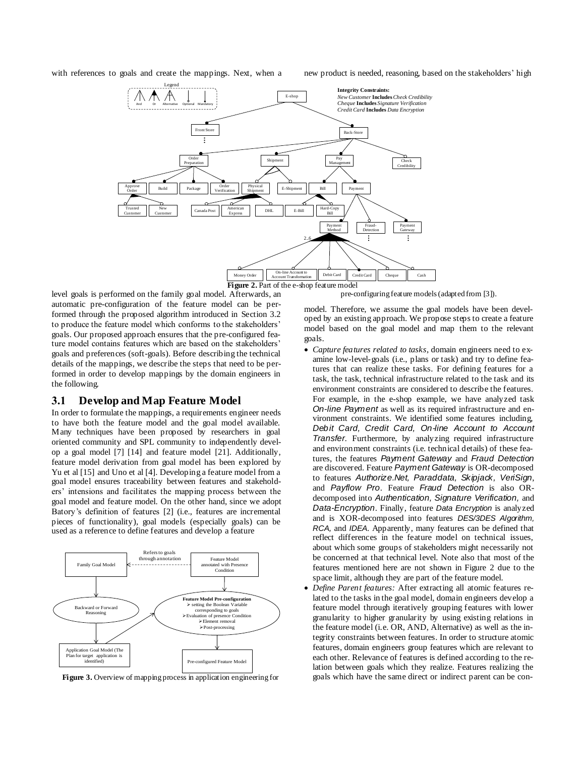with references to goals and create the mappings. Next, when a new product is needed, reasoning, based on the stakeholders' high



level goals is performed on the family goal model. Afterwards, an automatic pre-configuration of the feature model can be performed through the proposed algorithm introduced in Section 3.2 to produce the feature model which conforms to the stakeholders' goals. Our proposed approach ensures that the pre-configured feature model contains features which are based on the stakeholders' goals and preferences (soft-goals). Before describing the technical details of the mappings, we describe the steps that need to be performed in order to develop mappings by the domain engineers in the following.

#### **3.1 Develop and Map Feature Model**

In order to formulate the mappings, a requirements engineer needs to have both the feature model and the goal model available. Many techniques have been proposed by researchers in goal oriented community and SPL community to independently develop a goal model [7] [14] and feature model [21]. Additionally, feature model derivation from goal model has been explored by Yu et al [15] and Uno et al [4]. Developing a feature model from a goal model ensures traceability between features and stakeholders' intensions and facilitates the mapping process between the goal model and feature model. On the other hand, since we adopt Batory's definition of features [2] (i.e., features are incremental pieces of functionality), goal models (especially goals) can be used as a reference to define features and develop a feature



**Figure 3.** Overview of mapping process in application engineering for

pre-configuring feature models (adapted from [3]).

model. Therefore, we assume the goal models have been developed by an existing approach. We propose steps to create a feature model based on the goal model and map them to the relevant goals.

- *Capture features related to tasks*, domain engineers need to examine low-level-goals (i.e., plans or task) and try to define features that can realize these tasks. For defining features for a task, the task, technical infrastructure related to the task and its environment constraints are considered to describe the features. For example, in the e-shop example, we have analyzed task *On-line Payment* as well as its required infrastructure and environment constraints. We identified some features including, *Debit Card, Credit Card, On-line Account to Account Transfer.* Furthermore, by analyzing required infrastructure and environment constraints (i.e. technical details) of these features, the features *Payment Gateway* and *Fraud Detection* are discovered. Feature *Payment Gateway* is OR-decomposed to features *Authorize.Net, Paraddata, Skipjack, VeriSign*, and *Payflow Pro*. Feature *Fraud Detection* is also ORdecomposed into *Authentication, Signature Verification,* and *Data-Encryption*. Finally, feature *Data Encryption* is analyzed and is XOR-decomposed into features *DES/3DES Algorithm, RCA,* and *IDEA*. Apparently, many features can be defined that reflect differences in the feature model on technical issues, about which some groups of stakeholders might necessarily not be concerned at that technical level. Note also that most of the features mentioned here are not shown in Figure 2 due to the space limit, although they are part of the feature model.
- *Define Parent features:* After extracting all atomic features related to the tasks in the goal model, domain engineers develop a feature model through iteratively grouping features with lower granularity to higher granularity by using existing relations in the feature model (i.e. OR, AND, Alternative) as well as the integrity constraints between features. In order to structure atomic features, domain engineers group features which are relevant to each other. Relevance of features is defined according to the relation between goals which they realize. Features realizing the goals which have the same direct or indirect parent can be con-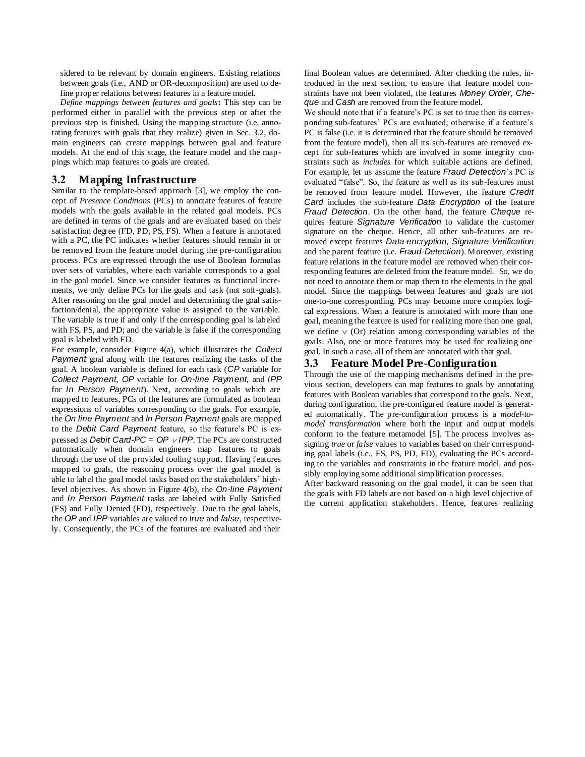sidered to be relevant by domain engineers. Existing relations between goals (i.e., AND or OR-decomposition) are used to define proper relations between features in a feature model.

*Define mappings between features and goals***:** This step can be performed either in parallel with the previous step or after the previous step is finished. Using the mapping structure (i.e. annotating features with goals that they realize) given in Sec. 3.2, domain engineers can create mappings between goal and feature models. At the end of this stage, the feature model and the mappings which map features to goals are created.

# **3.2 Mapping Infrastructure**

Similar to the template-based approach [3], we employ the concept of *Presence Conditions* (PCs) to annotate features of feature models with the goals available in the related goal models. PCs are defined in terms of the goals and are evaluated based on their satisfaction degree (FD, PD, PS, FS). When a feature is annotated with a PC, the PC indicates whether features should remain in or be removed from the feature model during the pre-configuration process. PCs are expressed through the use of Boolean formulas over sets of variables, where each variable corresponds to a goal in the goal model. Since we consider features as functional increments, we only define PCs for the goals and task (not soft-goals). After reasoning on the goal model and determining the goal satisfaction/denial, the appropriate value is assigned to the variable. The variable is true if and only if the corresponding goal is labeled with FS, PS, and PD; and the variable is false if the corresponding goal is labeled with FD.

For example, consider Figure 4(a), which illustrates the *Collect Payment* goal along with the features realizing the tasks of the goal. A boolean variable is defined for each task (*CP* variable for *Collect Payment*, *OP* variable for *On-line Payment,* and *IPP* for *In Person Payment*). Next, according to goals which are mapped to features, PCs of the features are formulated as boolean expressions of variables corresponding to the goals. For example, the *On line Payment* and *In Person Payment* goals are mapped to the *Debit Card Payment* feature, so the feature's PC is expressed as *Debit Card-PC* =  $OP$   $\vee$  *IPP*. The PCs are constructed automatically when domain engineers map features to goals through the use of the provided tooling support. Having features mapped to goals, the reasoning process over the goal model is able to label the goal model tasks based on the stakeholders' highlevel objectives. As shown in Figure 4(b), the *On-line Payment* and *In Person Payment* tasks are labeled with Fully Satisfied (FS) and Fully Denied (FD), respectively. Due to the goal labels, the *OP* and *IPP* variables are valued to *true* and *false*, respectively. Consequently, the PCs of the features are evaluated and their

final Boolean values are determined. After checking the rules, introduced in the next section, to ensure that feature model constraints have not been violated, the features *Money Order*, *Cheque* and *Cash* are removed from the feature model.

We should note that if a feature's PC is set to true then its corresponding sub-features' PCs are evaluated; otherwise if a feature's PC is false (i.e. it is determined that the feature should be removed from the feature model), then all its sub-features are removed except for sub-features which are involved in some integrity constraints such as *includes* for which suitable actions are defined. For example, let us assume the feature *Fraud Detection*'s PC is evaluated "false". So, the feature as well as its sub-features must be removed from feature model. However, the feature *Credit Card* includes the sub-feature *Data Encryption* of the feature *Fraud Detection*. On the other hand, the feature *Cheque* requires feature *Signature Verification* to validate the customer signature on the cheque. Hence, all other sub-features are removed except features *Data-encryption, Signature Verification*  and the parent feature (i.e. *Fraud-Detection*). Moreover, existing feature relations in the feature model are removed when their corresponding features are deleted from the feature model. So, we do not need to annotate them or map them to the elements in the goal model. Since the mappings between features and goals are not one-to-one corresponding, PCs may become more complex logical expressions. When a feature is annotated with more than one goal, meaning the feature is used for realizing more than one goal, we define  $\vee$  (Or) relation among corresponding variables of the goals. Also, one or more features may be used for realizing one goal. In such a case, all of them are annotated with that goal.

# **3.3 Feature Model Pre-Configuration**

Through the use of the mapping mechanisms defined in the previous section, developers can map features to goals by annotating features with Boolean variables that correspond to the goals. Next, during configuration, the pre-configured feature model is generated automatically. The pre-configuration process is a *model-tomodel transformation* where both the input and output models conform to the feature metamodel [5]. The process involves assigning *true* or *false* values to variables based on their corresponding goal labels (i.e., FS, PS, PD, FD), evaluating the PCs according to the variables and constraints in the feature model, and possibly employing some additional simplification processes.

After backward reasoning on the goal model, it can be seen that the goals with FD labels are not based on a high level objective of the current application stakeholders. Hence, features realizing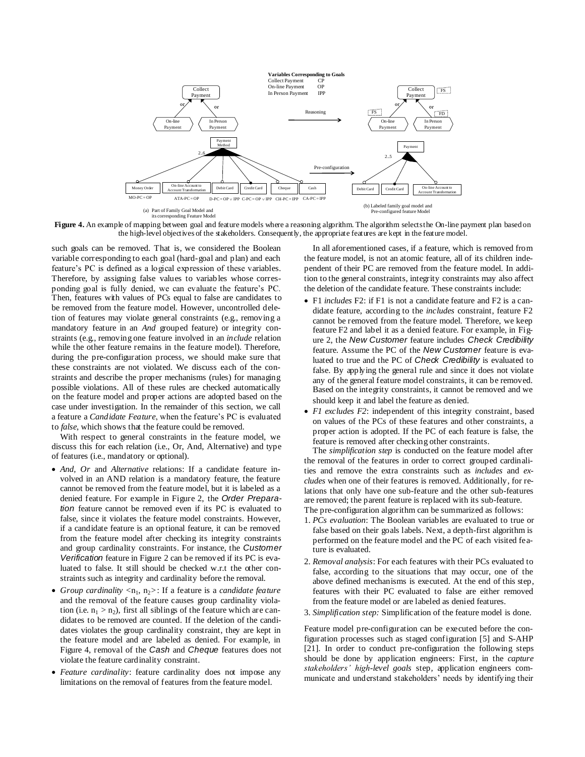

**Figure 4.** An example of mapping between goal and feature models where a reasoning algorithm. The algorithm selects the On-line payment plan based on the high-level objectives of the stakeholders. Consequently, the appropriate features are kept in the feature model.

such goals can be removed. That is, we considered the Boolean variable corresponding to each goal (hard-goal and plan) and each feature's PC is defined as a logical expression of these variables. Therefore, by assigning false values to variables whose corresponding goal is fully denied, we can evaluate the feature's PC. Then, features with values of PCs equal to false are candidates to be removed from the feature model. However, uncontrolled deletion of features may violate general constraints (e.g., removing a mandatory feature in an *And* grouped feature) or integrity constraints (e.g., removing one feature involved in an *include* relation while the other feature remains in the feature model). Therefore, during the pre-configuration process, we should make sure that these constraints are not violated. We discuss each of the constraints and describe the proper mechanisms (rules) for managing possible violations. All of these rules are checked automatically on the feature model and proper actions are adopted based on the case under investigation. In the remainder of this section, we call a feature a *Candidate Feature*, when the feature's PC is evaluated to *false*, which shows that the feature could be removed.

With respect to general constraints in the feature model, we discuss this for each relation (i.e., Or, And, Alternative) and type of features (i.e., mandatory or optional).

- *And, Or* and *Alternative* relations: If a candidate feature involved in an AND relation is a mandatory feature, the feature cannot be removed from the feature model, but it is labeled as a denied feature. For example in Figure 2, the *Order Preparation* feature cannot be removed even if its PC is evaluated to false, since it violates the feature model constraints. However, if a candidate feature is an optional feature, it can be removed from the feature model after checking its integrity constraints and group cardinality constraints. For instance, the *Customer Verification* feature in Figure 2 can be removed if its PC is evaluated to false. It still should be checked w.r.t the other constraints such as integrity and cardinality before the removal.
- *Group cardinality*  $\langle n_1, n_2 \rangle$ : If a feature is a *candidate feature* and the removal of the feature causes group cardinality violation (i.e.  $n_1 > n_2$ ), first all siblings of the feature which are candidates to be removed are counted. If the deletion of the candidates violates the group cardinality constraint, they are kept in the feature model and are labeled as denied. For example, in Figure 4, removal of the *Cash* and *Cheque* features does not violate the feature cardinality constraint.
- *Feature cardinality*: feature cardinality does not impose any limitations on the removal of features from the feature model.

In all aforementioned cases, if a feature, which is removed from the feature model, is not an atomic feature, all of its children independent of their PC are removed from the feature model. In addition to the general constraints, integrity constraints may also affect the deletion of the candidate feature. These constraints include:

- F1 *includes* F2: if F1 is not a candidate feature and F2 is a candidate feature, according to the *includes* constraint, feature F2 cannot be removed from the feature model. Therefore, we keep feature F2 and label it as a denied feature. For example, in Figure 2, the *New Customer* feature includes *Check Credibility* feature. Assume the PC of the *New Customer* feature is evaluated to true and the PC of *Check Credibility* is evaluated to false. By applying the general rule and since it does not violate any of the general feature model constraints, it can be removed. Based on the integrity constraints, it cannot be removed and we should keep it and label the feature as denied.
- *F1 excludes F2*: independent of this integrity constraint, based on values of the PCs of these features and other constraints, a proper action is adopted. If the PC of each feature is false, the feature is removed after checking other constraints.

The *simplification step* is conducted on the feature model after the removal of the features in order to correct grouped cardinalities and remove the extra constraints such as *includes* and *excludes* when one of their features is removed. Additionally, for relations that only have one sub-feature and the other sub-features are removed; the parent feature is replaced with its sub-feature.

The pre-configuration algorithm can be summarized as follows:

- 1. *PCs evaluation*: The Boolean variables are evaluated to true or false based on their goals labels. Next, a depth-first algorithm is performed on the feature model and the PC of each visited feature is evaluated.
- 2. *Removal analysis*: For each features with their PCs evaluated to false, according to the situations that may occur, one of the above defined mechanisms is executed. At the end of this step, features with their PC evaluated to false are either removed from the feature model or are labeled as denied features.
- 3. *Simplification step:* Simplification of the feature model is done.

Feature model pre-configuration can be executed before the configuration processes such as staged configuration [5] and S-AHP [21]. In order to conduct pre-configuration the following steps should be done by application engineers: First, in the *capture stakeholders' high-level goals* step*,* application engineers communicate and understand stakeholders' needs by identifying their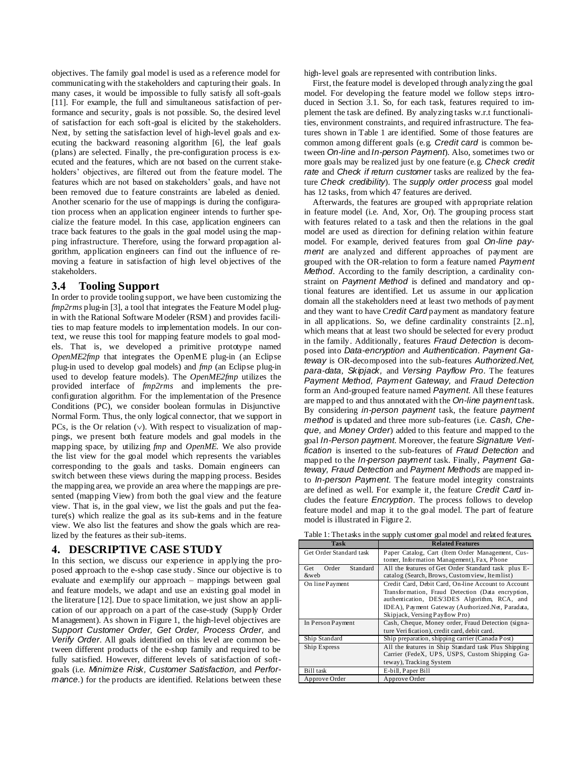objectives. The family goal model is used as a reference model for communicating with the stakeholders and capturing their goals. In many cases, it would be impossible to fully satisfy all soft-goals [11]. For example, the full and simultaneous satisfaction of performance and security, goals is not possible. So, the desired level of satisfaction for each soft-goal is elicited by the stakeholders. Next, by setting the satisfaction level of high-level goals and executing the backward reasoning algorithm [6], the leaf goals (plans) are selected. Finally, the pre-configuration process is executed and the features, which are not based on the current stakeholders' objectives, are filtered out from the feature model. The features which are not based on stakeholders' goals, and have not been removed due to feature constraints are labeled as denied. Another scenario for the use of mappings is during the configuration process when an application engineer intends to further specialize the feature model. In this case, application engineers can trace back features to the goals in the goal model using the mapping infrastructure. Therefore, using the forward propagation algorithm, application engineers can find out the influence of removing a feature in satisfaction of high level objectives of the stakeholders.

### **3.4 Tooling Support**

In order to provide tooling support, we have been customizing the *fmp2rms* plug-in [3], a tool that integrates the Feature Model plugin with the Rational Software Modeler (RSM) and provides facilities to map feature models to implementation models. In our context, we reuse this tool for mapping feature models to goal models. That is, we developed a primitive prototype named *OpenME2fmp* that integrates the OpenME plug-in (an Eclipse plug-in used to develop goal models) and *fmp* (an Eclipse plug-in used to develop feature models). The *OpenME2fmp* utilizes the provided interface of *fmp2rms* and implements the preconfiguration algorithm. For the implementation of the Presence Conditions (PC), we consider boolean formulas in Disjunctive Normal Form. Thus, the only logical connector, that we support in PCs, is the Or relation  $(\vee)$ . With respect to visualization of mappings, we present both feature models and goal models in the mapping space, by utilizing *fmp* and *OpenME.* We also provide the list view for the goal model which represents the variables corresponding to the goals and tasks. Domain engineers can switch between these views during the mapping process. Besides the mapping area, we provide an area where the mappings are presented (mapping View) from both the goal view and the feature view. That is, in the goal view, we list the goals and put the feature(s) which realize the goal as its sub-items and in the feature view. We also list the features and show the goals which are realized by the features as their sub-items.

## **4. DESCRIPTIVE CASE STUDY**

In this section, we discuss our experience in applying the proposed approach to the e-shop case study. Since our objective is to evaluate and exemplify our approach – mappings between goal and feature models, we adapt and use an existing goal model in the literature [12]. Due to space limitation, we just show an application of our approach on a part of the case-study (Supply Order Management). As shown in Figure 1, the high-level objectives are *Support Customer Order, Get Order, Process Order,* and *Verify Order*. All goals identified on this level are common between different products of the e-shop family and required to be fully satisfied. However, different levels of satisfaction of softgoals (i.e. *Minimize Risk, Customer Satisfaction,* and *Performance.*) for the products are identified. Relations between these

high-level goals are represented with contribution links.

First, the feature model is developed through analyzing the goal model. For developing the feature model we follow steps introduced in Section 3.1. So, for each task, features required to implement the task are defined. By analyzing tasks w.r.t functionalities, environment constraints, and required infrastructure. The features shown in Table 1 are identified. Some of those features are common among different goals (e.g. *Credit card* is common between *On-line* and *In-person Payment*). Also, sometimes two or more goals may be realized just by one feature (e.g. *Check credit rate* and *Check if return customer* tasks are realized by the feature *Check credibility*). The *supply order process* goal model has 12 tasks, from which 47 features are derived.

Afterwards, the features are grouped with appropriate relation in feature model (i.e. And, Xor, Or). The grouping process start with features related to a task and then the relations in the goal model are used as direction for defining relation within feature model. For example, derived features from goal *On-line payment* are analyzed and different approaches of payment are grouped with the OR-relation to form a feature named *Payment Method*. According to the family description, a cardinality constraint on *Payment Method* is defined and mandatory and optional features are identified. Let us assume in our application domain all the stakeholders need at least two methods of payment and they want to have C*redit Card* payment as mandatory feature in all applications. So, we define cardinality constraints [2..n], which means that at least two should be selected for every product in the family. Additionally, features *Fraud Detection* is decomposed into *Data-encryption* and *Authentication*. *Payment Gateway* is OR-decomposed into the sub-features *Authorized.Net, para-data*, *Skipjack,* and *Versing Payflow Pro*. The features *Payment Method, Payment Gateway,* and *Fraud Detection* form an And-grouped feature named *Payment*. All these features are mapped to and thus annotated with the *On-line payment* task. By considering *in-person payment* task, the feature *payment method* is updated and three more sub-features (i.e. *Cash, Cheque,* and *Money Order*) added to this feature and mapped to the goal *In-Person payment*. Moreover, the feature *Signature Verification* is inserted to the sub-features of *Fraud Detection* and mapped to the *In-person payment* task. Finally, *Payment Gateway, Fraud Detection* and *Payment Methods* are mapped into *In-person Payment*. The feature model integrity constraints are defined as well. For example it, the feature *Credit Card* includes the feature *Encryption*. The process follows to develop feature model and map it to the goal model. The part of feature model is illustrated in Figure 2.

| Table 1: The tasks in the supply customer goal model and related features. |  |  |  |
|----------------------------------------------------------------------------|--|--|--|
|                                                                            |  |  |  |

| Task                             | <b>Related Features</b>                                                                                |  |
|----------------------------------|--------------------------------------------------------------------------------------------------------|--|
| Get Order Standard task          | Paper Catalog, Cart (Item Order Management, Cus-<br>tomer, Information Management), Fax, Phone         |  |
| Standard<br>Order<br>Get<br>&web | All the features of Get Order Standard task plus E-<br>catalog (Search, Brows, Customview, Itemlist)   |  |
| On linePayment                   | Credit Card, Debit Card, On-line Account to Account                                                    |  |
|                                  | Transformation, Fraud Detection (Data encryption,<br>authentication, DES/3DES Algorithm, RCA, and      |  |
|                                  | IDEA), Payment Gateway (Authorized.Net, Paradata,                                                      |  |
|                                  | Skipjack, Versing Payflow Pro)                                                                         |  |
| In Person Payment                | Cash, Cheque, Money order, Fraud Detection (signa-                                                     |  |
|                                  | ture Veri fication), credit card, debit card.                                                          |  |
| Ship Standard                    | Ship preparation, shipping carrier (Canada Post)                                                       |  |
| Ship Express                     | All the features in Ship Standard task Plus Shipping<br>Carrier (FedeX, UPS, USPS, Custom Shipping Ga- |  |
|                                  | teway), Tracking System                                                                                |  |
| Bill task                        | E-bill, Paper Bill                                                                                     |  |
| Approve Order                    | Approve Order                                                                                          |  |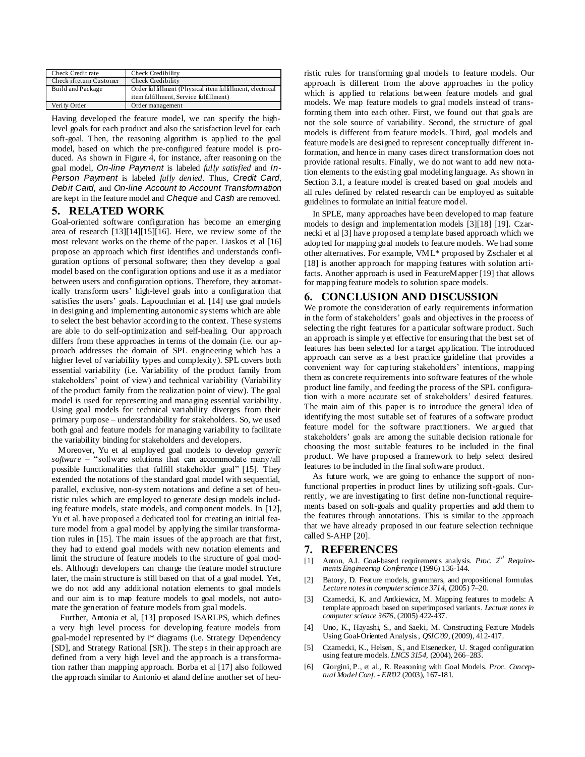| Check Credit rate        | Check Credibility                                         |
|--------------------------|-----------------------------------------------------------|
| Check if return Customer | Check Credibility                                         |
| Build and Package        | Order ful fillment (Physical item fulfillment, electrical |
|                          | item fulfillment. Service fulfillment)                    |
| Veri fy Order            | Order management                                          |

Having developed the feature model, we can specify the highlevel goals for each product and also the satisfaction level for each soft-goal. Then, the reasoning algorithm is applied to the goal model, based on which the pre-configured feature model is produced. As shown in Figure 4, for instance, after reasoning on the goal model, *On-line Payment* is labeled *fully satisfied* and *In-Person Payment* is labeled *fully denied*. Thus, *Credit Card, Debit Card,* and *On-line Account to Account Transformation* are kept in the feature model and *Cheque* and *Cash* are removed.

## **5. RELATED WORK**

Goal-oriented software configuration has become an emerging area of research [13][14][15][16]. Here, we review some of the most relevant works on the theme of the paper. Liaskos et al [16] propose an approach which first identifies and understands configuration options of personal software; then they develop a goal model based on the configuration options and use it as a mediator between users and configuration options. Therefore, they automatically transform users' high-level goals into a configuration that satisfies the users' goals. Lapouchnian et al. [14] use goal models in designing and implementing autonomic systems which are able to select the best behavior according to the context. These systems are able to do self-optimization and self-healing. Our approach differs from these approaches in terms of the domain (i.e. our approach addresses the domain of SPL engineering which has a higher level of variability types and complexity). SPL covers both essential variability (i.e. Variability of the product family from stakeholders' point of view) and technical variability (Variability of the product family from the realization point of view). The goal model is used for representing and managing essential variability. Using goal models for technical variability diverges from their primary purpose – understandability for stakeholders. So, we used both goal and feature models for managing variability to facilitate the variability binding for stakeholders and developers.

Moreover, Yu et al employed goal models to develop *generic*  software – "software solutions that can accommodate many/all possible functionalities that fulfill stakeholder goal" [15]. They extended the notations of the standard goal model with sequential, parallel, exclusive, non-system notations and define a set of heuristic rules which are employed to generate design models including feature models, state models, and component models. In [12], Yu et al. have proposed a dedicated tool for creating an initial feature model from a goal model by applying the similar transformation rules in [15]. The main issues of the approach are that first, they had to extend goal models with new notation elements and limit the structure of feature models to the structure of goal models. Although developers can change the feature model structure later, the main structure is still based on that of a goal model. Yet, we do not add any additional notation elements to goal models and our aim is to map feature models to goal models, not automate the generation of feature models from goal models.

Further, Antonia et al, [13] proposed ISARLPS, which defines a very high level process for developing feature models from goal-model represented by i\* diagrams (i.e. Strategy Dependency [SD], and Strategy Rational [SR]). The steps in their approach are defined from a very high level and the approach is a transformation rather than mapping approach. Borba et al [17] also followed the approach similar to Antonio et aland define another set of heuristic rules for transforming goal models to feature models. Our approach is different from the above approaches in the policy which is applied to relations between feature models and goal models. We map feature models to goal models instead of transforming them into each other. First, we found out that goals are not the sole source of variability. Second, the structure of goal models is different from feature models. Third, goal models and feature models are designed to represent conceptually different information, and hence in many cases direct transformation does not provide rational results. Finally, we do not want to add new notation elements to the existing goal modeling language. As shown in Section 3.1, a feature model is created based on goal models and all rules defined by related research can be employed as suitable guidelines to formulate an initial feature model.

In SPLE, many approaches have been developed to map feature models to design and implementation models [3][18] [19]. Czarnecki et al [3] have proposed a template based approach which we adopted for mapping goal models to feature models. We had some other alternatives. For example, VML\* proposed by Zschaler et al [18] is another approach for mapping features with solution artifacts. Another approach is used in FeatureMapper [19] that allows for mapping feature models to solution space models.

#### **6. CONCLUSION AND DISCUSSION**

We promote the consideration of early requirements information in the form of stakeholders' goals and objectives in the process of selecting the right features for a particular software product. Such an approach is simple yet effective for ensuring that the best set of features has been selected for a target application. The introduced approach can serve as a best practice guideline that provides a convenient way for capturing stakeholders' intentions, mapping them as concrete requirements into software features of the whole product line family, and feeding the process of the SPL configuration with a more accurate set of stakeholders' desired features. The main aim of this paper is to introduce the general idea of identifying the most suitable set of features of a software product feature model for the software practitioners. We argued that stakeholders' goals are among the suitable decision rationale for choosing the most suitable features to be included in the final product. We have proposed a framework to help select desired features to be included in the final software product.

As future work, we are going to enhance the support of nonfunctional properties in product lines by utilizing soft-goals. Currently, we are investigating to first define non-functional requirements based on soft-goals and quality properties and add them to the features through annotations. This is similar to the approach that we have already proposed in our feature selection technique called S-AHP [20].

#### **7. REFERENCES**

- [1] Anton, A.I. Goal-based requirements analysis. *Proc. 2<sup>nd</sup> Requirements Engineering Conference* (1996) 136-144.
- [2] Batory, D. Feature models, grammars, and propositional formulas. *Lecture notes in computer science 3714*, (2005) 7–20.
- [3] Czarnecki, K. and Antkiewicz, M. Mapping features to models: A template approach based on superimposed variants. *Lecture notes in computer science 3676*, (2005) 422-437.
- [4] Uno, K., Hayashi, S., and Saeki, M. Constructing Feature Models Using Goal-Oriented Analysis., *QSIC'09*, (2009), 412-417.
- [5] Czarnecki, K., Helsen, S., and Eisenecker, U. Staged configuration using feature models. *LNCS 3154*, (2004), 266–283.
- [6] Giorgini, P., et al., R. Reasoning with Goal Models. *Proc. Conceptual Model Conf. - ER'02* (2003), 167-181.